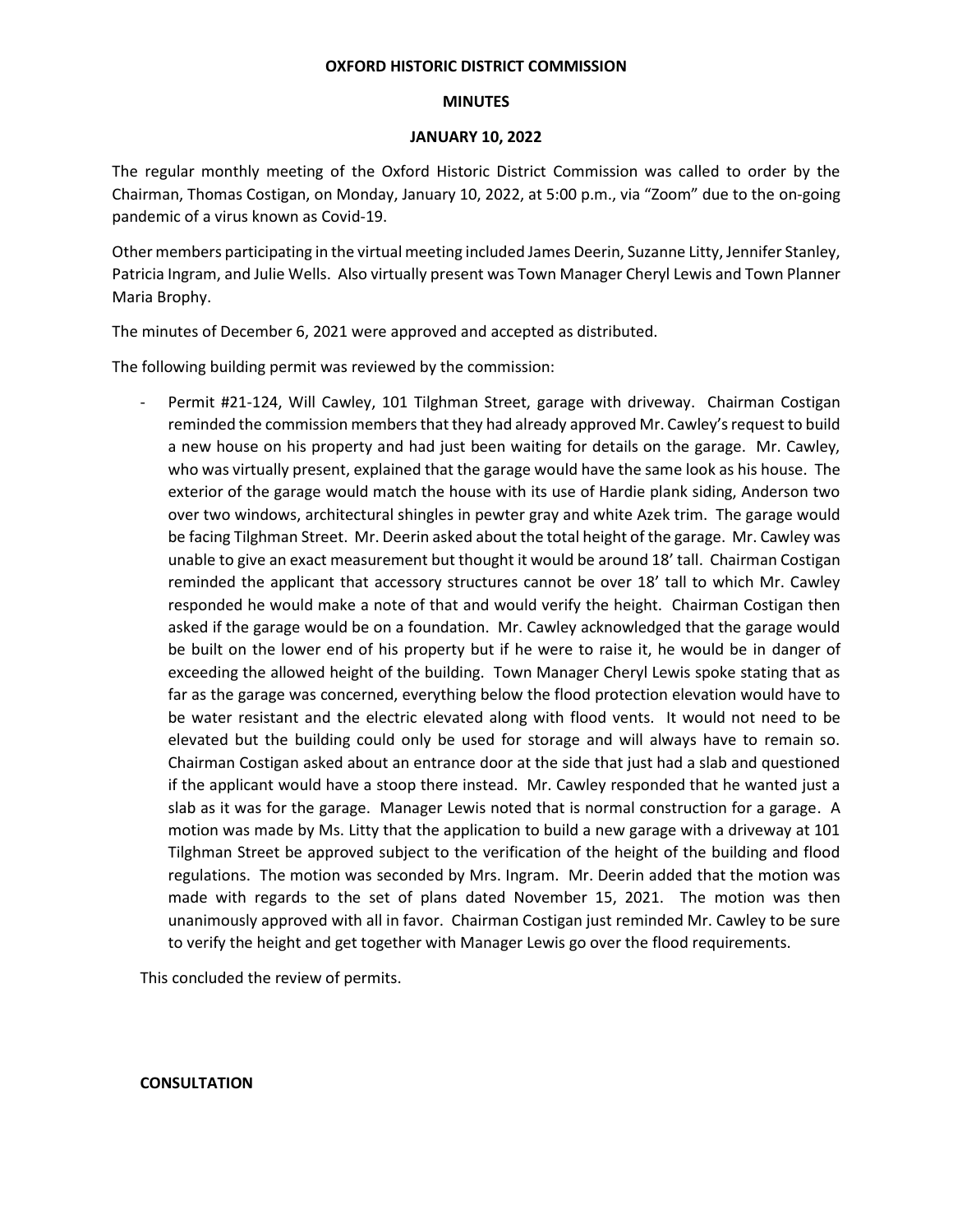## **OXFORD HISTORIC DISTRICT COMMISSION**

## **MINUTES**

# **JANUARY 10, 2022**

The regular monthly meeting of the Oxford Historic District Commission was called to order by the Chairman, Thomas Costigan, on Monday, January 10, 2022, at 5:00 p.m., via "Zoom" due to the on-going pandemic of a virus known as Covid-19.

Other members participating in the virtual meeting included James Deerin, Suzanne Litty, Jennifer Stanley, Patricia Ingram, and Julie Wells. Also virtually present was Town Manager Cheryl Lewis and Town Planner Maria Brophy.

The minutes of December 6, 2021 were approved and accepted as distributed.

The following building permit was reviewed by the commission:

Permit #21-124, Will Cawley, 101 Tilghman Street, garage with driveway. Chairman Costigan reminded the commission members that they had already approved Mr. Cawley's request to build a new house on his property and had just been waiting for details on the garage. Mr. Cawley, who was virtually present, explained that the garage would have the same look as his house. The exterior of the garage would match the house with its use of Hardie plank siding, Anderson two over two windows, architectural shingles in pewter gray and white Azek trim. The garage would be facing Tilghman Street. Mr. Deerin asked about the total height of the garage. Mr. Cawley was unable to give an exact measurement but thought it would be around 18' tall. Chairman Costigan reminded the applicant that accessory structures cannot be over 18' tall to which Mr. Cawley responded he would make a note of that and would verify the height. Chairman Costigan then asked if the garage would be on a foundation. Mr. Cawley acknowledged that the garage would be built on the lower end of his property but if he were to raise it, he would be in danger of exceeding the allowed height of the building. Town Manager Cheryl Lewis spoke stating that as far as the garage was concerned, everything below the flood protection elevation would have to be water resistant and the electric elevated along with flood vents. It would not need to be elevated but the building could only be used for storage and will always have to remain so. Chairman Costigan asked about an entrance door at the side that just had a slab and questioned if the applicant would have a stoop there instead. Mr. Cawley responded that he wanted just a slab as it was for the garage. Manager Lewis noted that is normal construction for a garage. A motion was made by Ms. Litty that the application to build a new garage with a driveway at 101 Tilghman Street be approved subject to the verification of the height of the building and flood regulations. The motion was seconded by Mrs. Ingram. Mr. Deerin added that the motion was made with regards to the set of plans dated November 15, 2021. The motion was then unanimously approved with all in favor. Chairman Costigan just reminded Mr. Cawley to be sure to verify the height and get together with Manager Lewis go over the flood requirements.

This concluded the review of permits.

## **CONSULTATION**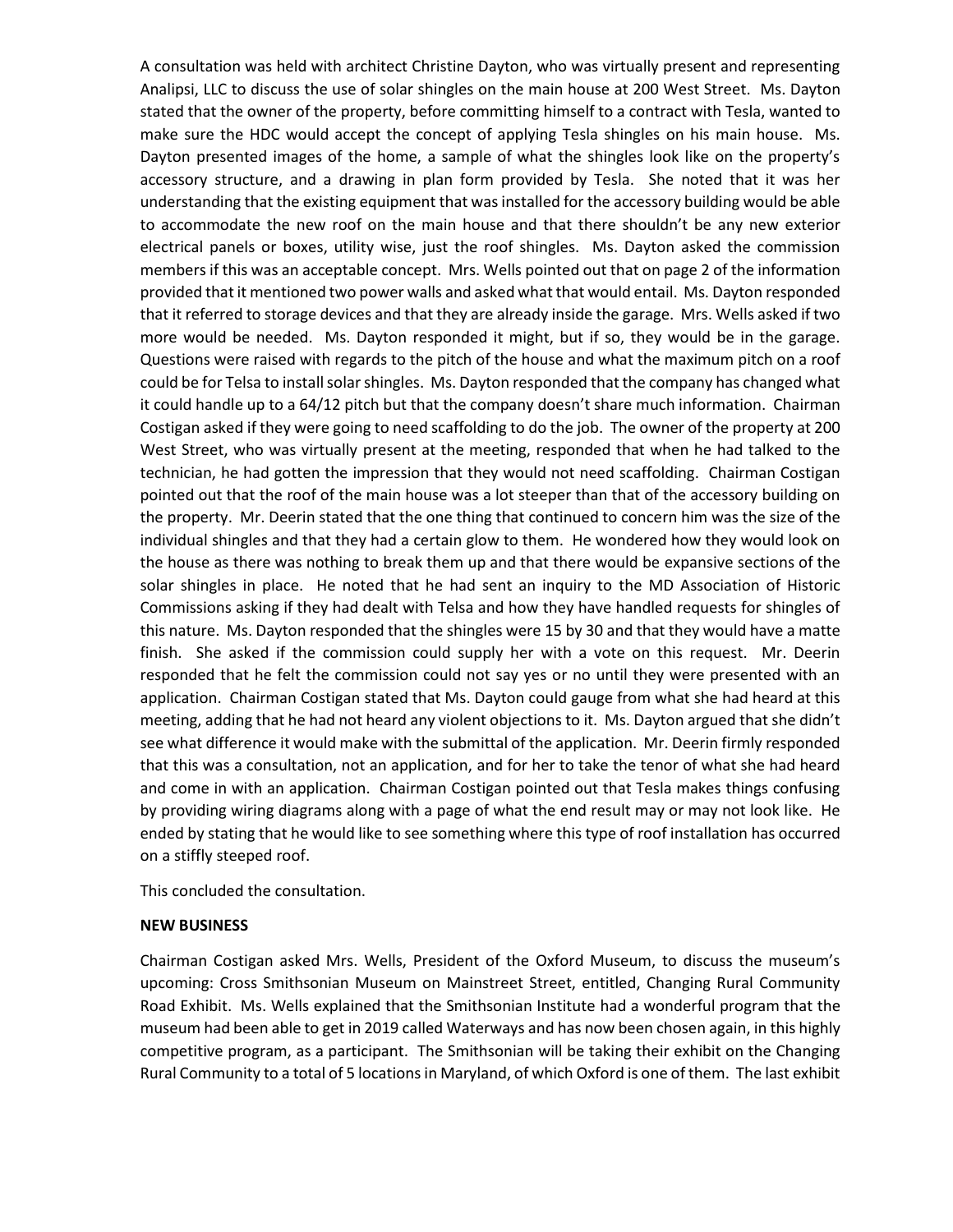A consultation was held with architect Christine Dayton, who was virtually present and representing Analipsi, LLC to discuss the use of solar shingles on the main house at 200 West Street. Ms. Dayton stated that the owner of the property, before committing himself to a contract with Tesla, wanted to make sure the HDC would accept the concept of applying Tesla shingles on his main house. Ms. Dayton presented images of the home, a sample of what the shingles look like on the property's accessory structure, and a drawing in plan form provided by Tesla. She noted that it was her understanding that the existing equipment that was installed for the accessory building would be able to accommodate the new roof on the main house and that there shouldn't be any new exterior electrical panels or boxes, utility wise, just the roof shingles. Ms. Dayton asked the commission members if this was an acceptable concept. Mrs. Wells pointed out that on page 2 of the information provided that it mentioned two power walls and asked what that would entail. Ms. Dayton responded that it referred to storage devices and that they are already inside the garage. Mrs. Wells asked if two more would be needed. Ms. Dayton responded it might, but if so, they would be in the garage. Questions were raised with regards to the pitch of the house and what the maximum pitch on a roof could be for Telsa to install solar shingles. Ms. Dayton responded that the company has changed what it could handle up to a 64/12 pitch but that the company doesn't share much information. Chairman Costigan asked if they were going to need scaffolding to do the job. The owner of the property at 200 West Street, who was virtually present at the meeting, responded that when he had talked to the technician, he had gotten the impression that they would not need scaffolding. Chairman Costigan pointed out that the roof of the main house was a lot steeper than that of the accessory building on the property. Mr. Deerin stated that the one thing that continued to concern him was the size of the individual shingles and that they had a certain glow to them. He wondered how they would look on the house as there was nothing to break them up and that there would be expansive sections of the solar shingles in place. He noted that he had sent an inquiry to the MD Association of Historic Commissions asking if they had dealt with Telsa and how they have handled requests for shingles of this nature. Ms. Dayton responded that the shingles were 15 by 30 and that they would have a matte finish. She asked if the commission could supply her with a vote on this request. Mr. Deerin responded that he felt the commission could not say yes or no until they were presented with an application. Chairman Costigan stated that Ms. Dayton could gauge from what she had heard at this meeting, adding that he had not heard any violent objections to it. Ms. Dayton argued that she didn't see what difference it would make with the submittal of the application. Mr. Deerin firmly responded that this was a consultation, not an application, and for her to take the tenor of what she had heard and come in with an application. Chairman Costigan pointed out that Tesla makes things confusing by providing wiring diagrams along with a page of what the end result may or may not look like. He ended by stating that he would like to see something where this type of roof installation has occurred on a stiffly steeped roof.

This concluded the consultation.

## **NEW BUSINESS**

Chairman Costigan asked Mrs. Wells, President of the Oxford Museum, to discuss the museum's upcoming: Cross Smithsonian Museum on Mainstreet Street, entitled, Changing Rural Community Road Exhibit. Ms. Wells explained that the Smithsonian Institute had a wonderful program that the museum had been able to get in 2019 called Waterways and has now been chosen again, in this highly competitive program, as a participant. The Smithsonian will be taking their exhibit on the Changing Rural Community to a total of 5 locations in Maryland, of which Oxford is one of them. The last exhibit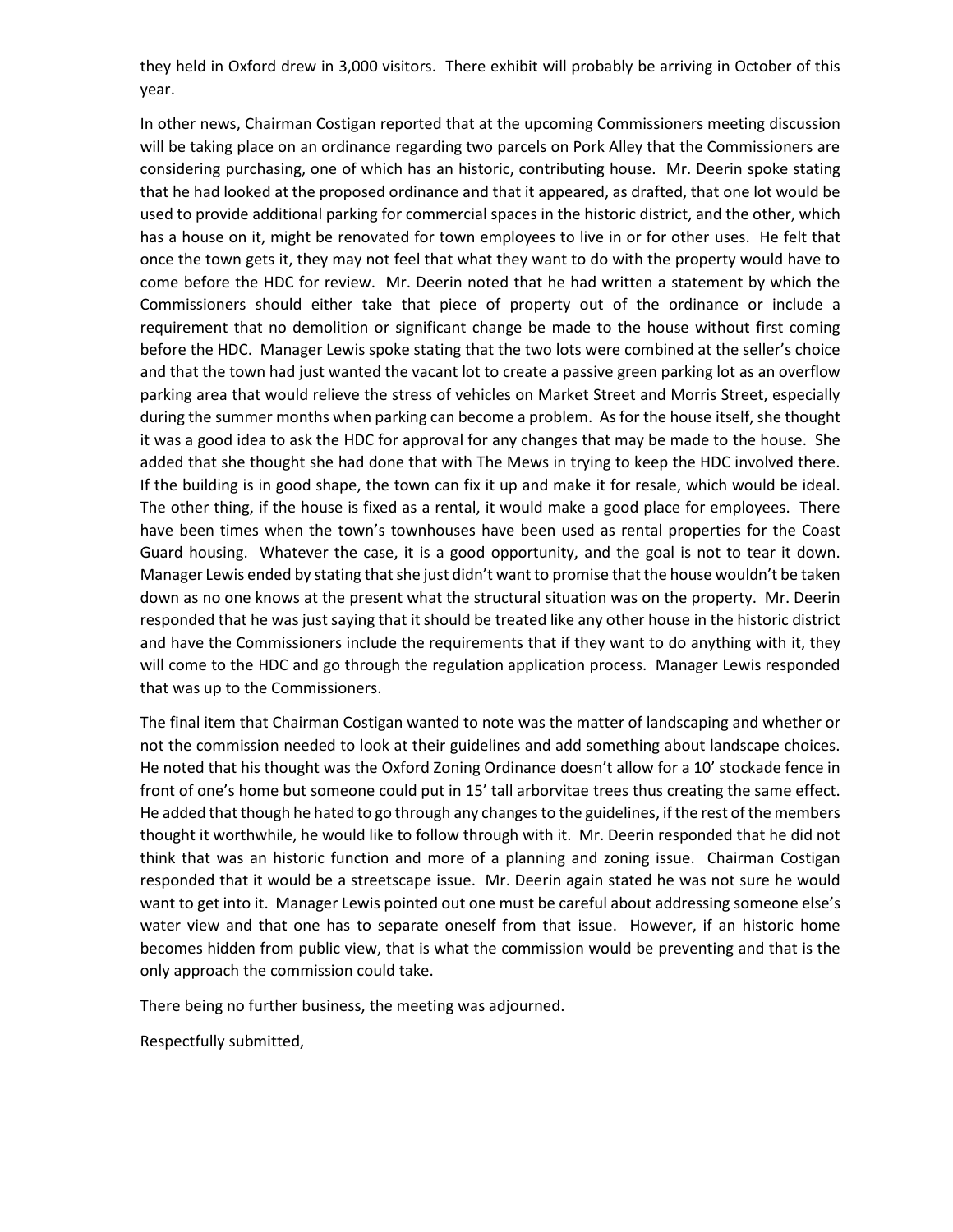they held in Oxford drew in 3,000 visitors. There exhibit will probably be arriving in October of this year.

In other news, Chairman Costigan reported that at the upcoming Commissioners meeting discussion will be taking place on an ordinance regarding two parcels on Pork Alley that the Commissioners are considering purchasing, one of which has an historic, contributing house. Mr. Deerin spoke stating that he had looked at the proposed ordinance and that it appeared, as drafted, that one lot would be used to provide additional parking for commercial spaces in the historic district, and the other, which has a house on it, might be renovated for town employees to live in or for other uses. He felt that once the town gets it, they may not feel that what they want to do with the property would have to come before the HDC for review. Mr. Deerin noted that he had written a statement by which the Commissioners should either take that piece of property out of the ordinance or include a requirement that no demolition or significant change be made to the house without first coming before the HDC. Manager Lewis spoke stating that the two lots were combined at the seller's choice and that the town had just wanted the vacant lot to create a passive green parking lot as an overflow parking area that would relieve the stress of vehicles on Market Street and Morris Street, especially during the summer months when parking can become a problem. As for the house itself, she thought it was a good idea to ask the HDC for approval for any changes that may be made to the house. She added that she thought she had done that with The Mews in trying to keep the HDC involved there. If the building is in good shape, the town can fix it up and make it for resale, which would be ideal. The other thing, if the house is fixed as a rental, it would make a good place for employees. There have been times when the town's townhouses have been used as rental properties for the Coast Guard housing. Whatever the case, it is a good opportunity, and the goal is not to tear it down. Manager Lewis ended by stating that she just didn't want to promise that the house wouldn't be taken down as no one knows at the present what the structural situation was on the property. Mr. Deerin responded that he was just saying that it should be treated like any other house in the historic district and have the Commissioners include the requirements that if they want to do anything with it, they will come to the HDC and go through the regulation application process. Manager Lewis responded that was up to the Commissioners.

The final item that Chairman Costigan wanted to note was the matter of landscaping and whether or not the commission needed to look at their guidelines and add something about landscape choices. He noted that his thought was the Oxford Zoning Ordinance doesn't allow for a 10' stockade fence in front of one's home but someone could put in 15' tall arborvitae trees thus creating the same effect. He added that though he hated to go through any changes to the guidelines, if the rest of the members thought it worthwhile, he would like to follow through with it. Mr. Deerin responded that he did not think that was an historic function and more of a planning and zoning issue. Chairman Costigan responded that it would be a streetscape issue. Mr. Deerin again stated he was not sure he would want to get into it. Manager Lewis pointed out one must be careful about addressing someone else's water view and that one has to separate oneself from that issue. However, if an historic home becomes hidden from public view, that is what the commission would be preventing and that is the only approach the commission could take.

There being no further business, the meeting was adjourned.

Respectfully submitted,